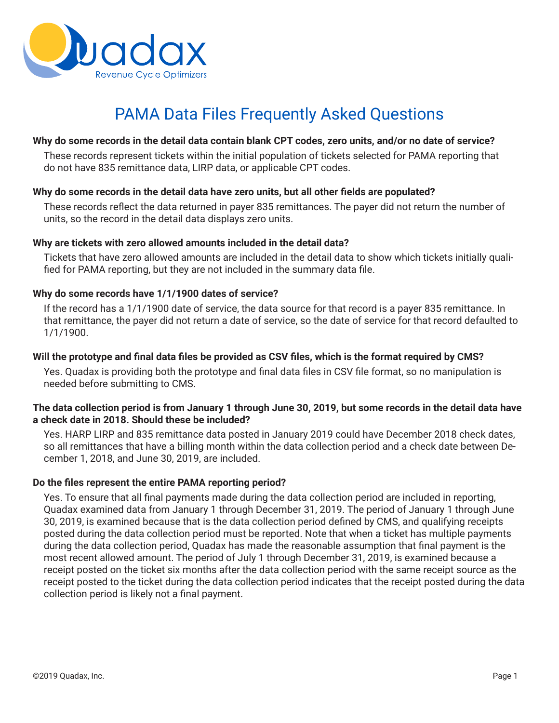

# PAMA Data Files Frequently Asked Questions

## **Why do some records in the detail data contain blank CPT codes, zero units, and/or no date of service?**

These records represent tickets within the initial population of tickets selected for PAMA reporting that do not have 835 remittance data, LIRP data, or applicable CPT codes.

# **Why do some records in the detail data have zero units, but all other fields are populated?**

These records reflect the data returned in payer 835 remittances. The payer did not return the number of units, so the record in the detail data displays zero units.

#### **Why are tickets with zero allowed amounts included in the detail data?**

Tickets that have zero allowed amounts are included in the detail data to show which tickets initially qualified for PAMA reporting, but they are not included in the summary data file.

## **Why do some records have 1/1/1900 dates of service?**

If the record has a 1/1/1900 date of service, the data source for that record is a payer 835 remittance. In that remittance, the payer did not return a date of service, so the date of service for that record defaulted to 1/1/1900.

## **Will the prototype and final data files be provided as CSV files, which is the format required by CMS?**

Yes. Quadax is providing both the prototype and final data files in CSV file format, so no manipulation is needed before submitting to CMS.

## **The data collection period is from January 1 through June 30, 2019, but some records in the detail data have a check date in 2018. Should these be included?**

Yes. HARP LIRP and 835 remittance data posted in January 2019 could have December 2018 check dates, so all remittances that have a billing month within the data collection period and a check date between December 1, 2018, and June 30, 2019, are included.

#### **Do the files represent the entire PAMA reporting period?**

Yes. To ensure that all final payments made during the data collection period are included in reporting, Quadax examined data from January 1 through December 31, 2019. The period of January 1 through June 30, 2019, is examined because that is the data collection period defined by CMS, and qualifying receipts posted during the data collection period must be reported. Note that when a ticket has multiple payments during the data collection period, Quadax has made the reasonable assumption that final payment is the most recent allowed amount. The period of July 1 through December 31, 2019, is examined because a receipt posted on the ticket six months after the data collection period with the same receipt source as the receipt posted to the ticket during the data collection period indicates that the receipt posted during the data collection period is likely not a final payment.